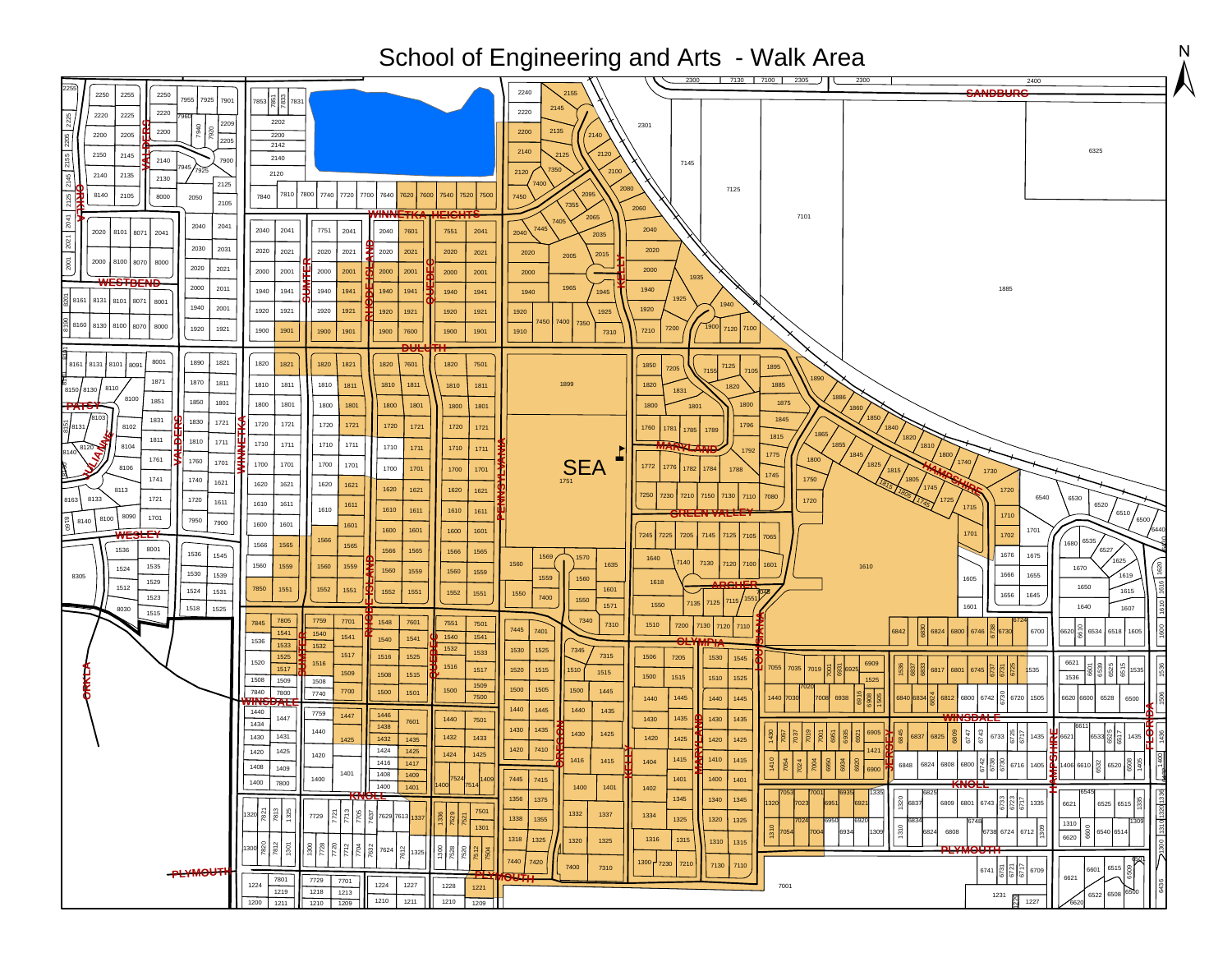| School of Engineering and Arts - Walk Area                                                                                                                                                                                                                                                                                                                                                                                                                                                                               |                                                                                                                                                                                                                                                                                                                                                                                                                                                                                                                                                                                                                                                                                                                                                                                                                                                                                                                                                                                                                                                                                                                                                                                                                                                                                                                                                                                                                                                                                                                                                                                                                                                                                                                                                                                                                                                                                                                                                                                                                                                                                                                                                                                                                                                                                                                                          |                                                                                                                                                  |  |  |  |
|--------------------------------------------------------------------------------------------------------------------------------------------------------------------------------------------------------------------------------------------------------------------------------------------------------------------------------------------------------------------------------------------------------------------------------------------------------------------------------------------------------------------------|------------------------------------------------------------------------------------------------------------------------------------------------------------------------------------------------------------------------------------------------------------------------------------------------------------------------------------------------------------------------------------------------------------------------------------------------------------------------------------------------------------------------------------------------------------------------------------------------------------------------------------------------------------------------------------------------------------------------------------------------------------------------------------------------------------------------------------------------------------------------------------------------------------------------------------------------------------------------------------------------------------------------------------------------------------------------------------------------------------------------------------------------------------------------------------------------------------------------------------------------------------------------------------------------------------------------------------------------------------------------------------------------------------------------------------------------------------------------------------------------------------------------------------------------------------------------------------------------------------------------------------------------------------------------------------------------------------------------------------------------------------------------------------------------------------------------------------------------------------------------------------------------------------------------------------------------------------------------------------------------------------------------------------------------------------------------------------------------------------------------------------------------------------------------------------------------------------------------------------------------------------------------------------------------------------------------------------------|--------------------------------------------------------------------------------------------------------------------------------------------------|--|--|--|
| 2250<br>2255<br>2250<br>7955<br>7925<br>2220<br>2225<br>2220<br><b>PR6</b><br>2200<br>2200<br>2205<br>2150<br>2145<br>2140<br>2145<br>2140<br>2135<br>2130<br>8140<br>2105<br>2125<br>8000<br>2050<br>2041<br>2040<br>2020<br>8101<br>8071<br>2041<br>2021<br>2030<br>2031<br>2001<br>2000<br>8100<br>8000<br>8070<br>2020<br>2021<br>2000<br>2011<br>8161<br>8131 8101<br>8071<br>8001<br>1940<br>2001<br>3160<br>8130 8100<br>8070<br>8000<br>1920<br>1921                                                             | 2400<br><b>SANDBURG</b><br>2240<br>$\left  \frac{5}{2} \right  \left  \frac{29}{2} \right $ 7831<br>7901<br>2145<br>2220<br>2202<br>2209<br>2301<br>2135<br>2200<br>2140<br>2200<br>2205<br>2142<br>2140<br>2120<br>2140<br>7900<br>7145<br>2100<br>2120<br>2120<br>2125<br>2080<br>7125<br>7810<br>7800<br>7740<br>7720<br>7640<br>7840<br>7700<br>7620<br>7600<br>7540<br>7520<br>7500<br>7450<br>2105<br>2060<br>2065<br>7101<br>7445<br>2040<br>2040<br>2041<br>2041<br>7751<br>2040<br>7601<br>7551<br>2041<br>2040<br>2035<br>2020<br>2021<br>2020<br>2020<br>2021<br>2020<br>2021<br>2021<br>2020<br>2020<br>2015<br>2005<br>2000<br>2000<br>2001<br>2000<br>2001<br>2001<br>2000<br>2000<br>2000<br>2001<br>1965<br>1940<br>1885<br>1940<br>1941<br>1941<br>1940<br>1940<br>1941<br>1940<br>1940<br>1941<br>1945<br>1920<br>1920<br>1921<br>1921<br>1920<br>1921<br>1920<br>1920<br>1921<br>1920<br>1925<br>7400<br>7450<br>7350<br>1900<br>7200<br>7120<br>7100<br>1900<br>1910<br>7210<br>1901<br>1900<br>7600<br>1901<br>7310<br>1901<br>1900<br>1900                                                                                                                                                                                                                                                                                                                                                                                                                                                                                                                                                                                                                                                                                                                                                                                                                                                                                                                                                                                                                                                                                                                                                                                                                                                                         | 6325                                                                                                                                             |  |  |  |
| 8001<br>1890<br>1821<br>8161 8131<br>8101<br>8091<br>1871<br>1870<br>1811<br>8110<br>8150 8130<br>8100<br>1851<br>1850<br>1801<br>8103<br>1831<br>1830<br>1721<br>8102<br>: 8131<br>1811<br>1810<br>1711<br>8104<br>1761<br>1760<br>1701<br>8106<br>1741<br>1740<br>1621<br>8113<br>8133<br>1721<br>B163<br>1720<br>1611<br>8090<br>1701<br>8100<br>8140<br>7950<br>7900<br>8001<br>1536<br>1536<br>1545<br>1535<br>1524<br>1530<br>1539<br>8305<br>1529<br>1512<br>1524<br>1531<br>1523<br>1518<br>1525<br>8030<br>1515 | 1820<br>1821<br>1820<br>1821<br>1820<br>7601<br>1820<br>7501<br>1850<br>7125<br>1895<br>7205<br>1811<br>1810<br>1811<br>1810<br>1811<br>1899<br>1885<br>1810<br>1810<br>1811<br>1820<br>1831<br>1886<br>1875<br>1800<br>1801<br>1801<br>1800<br>1801<br>1800<br>1800<br>1801<br>1800<br>1800<br>1801<br>1860<br>1850<br>1845<br>1720<br>1721<br>1720<br>1721<br>1796<br>1720<br>1721<br>1720<br>1840<br>1721<br>1760<br>1781<br>1785<br>1789<br>865<br>1815<br>1820<br>1710<br>1711<br>1711<br>1710<br>1810<br>1710<br>1711<br>1710<br>1711<br>1800<br>1775<br>1800<br>SEA<br>1740<br>1700<br>1701<br>1700<br>1701<br>1825<br>1772<br>1776<br>1782<br>1700<br>1701<br>1784<br>1700<br>1701<br>1788<br>1815<br>1730<br>1745<br>1750<br>1805<br>1620<br>1621<br>1620<br>1621<br>1745<br>1620<br>1621<br>1620<br>1720<br>162 <sup>1</sup><br>7210<br>7150<br>7130<br>7250<br>7230<br>7110<br>7080<br>6540<br>6530<br>725<br>1720<br>1610<br>1611<br>1611<br>1715<br>1610<br>1610<br>1611<br>1610<br>1611<br>1600<br>1601<br>1601<br>1600<br>1601<br>1701<br>1600<br>1601<br>1701<br>7245 7225<br>1702<br>7205<br>7145<br>7105<br>7125<br>7065<br>1566<br>1680 6535<br>1566<br>1565<br>1565<br>1565<br>1566<br>1566<br>1565<br>1675<br>1676<br>1569<br>1570<br>1640<br>140<br>7130<br>1560<br>1635<br>7120 7100<br>160 <sup>1</sup><br>1560<br>1559<br>1560<br>1559<br>1610<br>1670<br>1560<br>1559<br>1560<br>1559<br>1655<br>1666<br>1559<br>1605<br>1560<br>1618<br>1551<br>1551<br>7850<br>1552<br>1601<br>1551<br>1552<br>1552<br>1551<br>1550<br>1645<br>1656<br>7400<br>1550<br>155'<br>7125<br>1550<br>1571<br>1601<br>7805<br>7340<br>7701<br>7759<br>1548<br>7601<br>7501<br>7845<br>7551<br>7310<br>1510<br>7200<br>7130<br>7120<br>7110<br>7445<br>7401<br>6700<br>6824<br>6800<br>6746                                                                                                                                                                                                                                                                                                                                                                                                                                                                                                                                          | 6520<br>6510<br>6500<br>6527<br>1625<br>1619<br>1650<br>1615<br>1640<br>1607<br>6534<br>6518                                                     |  |  |  |
| <b>-PLYMOUTH</b>                                                                                                                                                                                                                                                                                                                                                                                                                                                                                                         | 1541<br>1540<br>1540<br>1541<br>1541<br>1541<br>1540<br>536<br>1533<br>1532<br>1532<br>1530<br>1525<br>7345<br>1533<br>1517<br>7315<br>1525<br>1525<br>1516<br>1506<br>7205<br>1530<br>1545<br>1520<br>1516<br>1516<br>7055<br>1517<br>7035<br>1517<br>1520<br>1515<br>6801<br>535<br>1515<br>1509<br>1508<br>1515<br>1500<br>1515<br>1536<br>1510<br>1525<br>1508<br>1509<br>1508<br>1509<br>1505<br>1500<br>7840<br>1500<br>1500<br>1445<br>7700<br>1501<br>7800<br>7740<br>1500<br>7500<br>1445<br>6938<br>1440<br>1445<br>6840 6834<br>6812<br>6800<br>6742<br>6720<br>1440<br>1440<br>1505<br>6620<br>1445<br>1440<br>1440<br>1435<br>1440<br>7759<br>1446<br>1447<br>1435<br>1430<br>1447<br>1440<br>1430<br>1435<br>7501<br>7601<br>1434<br>1438<br>1430<br>1435<br>1440<br>1430<br>1425<br>1431<br>1430<br>1432<br>1433<br>6837<br>6825<br>6733<br>1435 6621<br>1432<br>1420<br>ш<br>1435<br>1425<br>1425<br>1420<br>1425<br>7410<br>1420<br>1424<br>1425<br>1425<br>1420<br>1424<br>1425<br>1420<br>1415<br>1415<br>1410<br>1416<br>1415<br>1416<br>1417<br>1404<br>6934<br>$\begin{array}{ c c }\n\hline\n\mathbb{R} & \mathbb{R} & 6716\n\end{array}$<br>6848<br>6824<br>6808<br>6800<br>1405 1406 6610<br>1408<br>1409<br>6900<br>1401<br>1408<br>1409<br>7445<br>7415<br>1401<br>1400<br>1401<br>1400<br>7524<br>1409<br>1400<br>7800<br>1401<br>1400<br>1400<br>$751-$<br>1400<br>1401<br>1402<br>1345<br>1356<br>1375<br>1340<br>1345<br>$\frac{5}{2}$ 6837<br>6801 6743<br>6621<br>6809<br>1335<br>1320<br>023<br>7501<br>$1320$ $\frac{5}{8}$ $\frac{12}{8}$ $\frac{8}{8}$<br>1332<br>1337<br>$rac{2}{7705}$<br>1334<br>$\overline{r}$<br>7729<br>7629 7613<br>1337<br>1338<br>1355<br>1325<br>1320<br>1325<br>1310<br>1301<br>1310<br>$\frac{1}{2}$<br>6738 6724 6712<br>6808<br>7054<br>1309<br>6824<br>6620<br>1325<br>1315<br>1318<br>1316<br>1320<br>1325<br>1310<br>1315<br>$\frac{7820}{7812}$<br>$rac{8}{2}$<br>$rac{5}{2}$<br>$\frac{1}{7720}$<br>PLYMOUTH<br>1300<br>S <sub>2</sub><br>7624<br>7612<br>1325<br>7440<br>7420<br>1300 7230<br>7210<br>7130<br>7110<br>7400<br>7310<br>$6741$ $\frac{5}{6}$<br>6709<br>6621<br>7801<br>7729<br>7701<br>1224<br>1224<br>1227<br>1228<br>7001<br>1221<br>1219<br>1218<br>1213<br>1231<br>1210<br>1211<br>1210<br>1227<br>1210 1209<br>1209<br>1200<br>1211<br>6620 | <u>ျချချ</u><br>6528<br>6500<br>6600<br>6533 8 5<br>1435<br>6520<br>6525 6515 8<br>309<br>6600<br>6540 6514<br>6515<br>6601<br>6500<br>6522 6508 |  |  |  |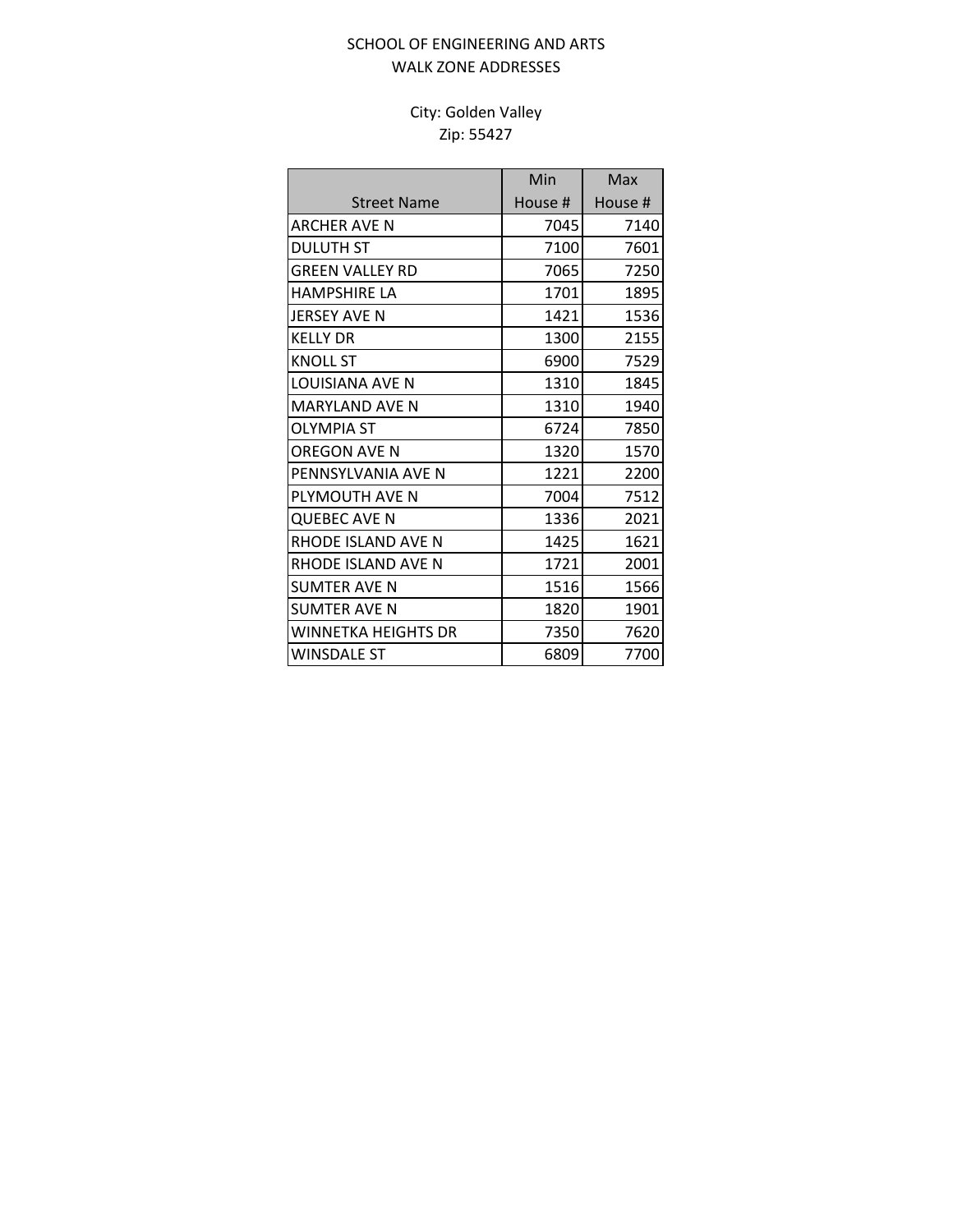### SCHOOL OF ENGINEERING AND ARTS WALK ZONE ADDRESSES

## City: Golden Valley Zip: 55427

|                        | Min     | Max     |
|------------------------|---------|---------|
| <b>Street Name</b>     | House # | House # |
| <b>ARCHER AVE N</b>    | 7045    | 7140    |
| <b>DULUTH ST</b>       | 7100    | 7601    |
| <b>GREEN VALLEY RD</b> | 7065    | 7250    |
| <b>HAMPSHIRE LA</b>    | 1701    | 1895    |
| <b>JERSEY AVE N</b>    | 1421    | 1536    |
| <b>KELLY DR</b>        | 1300    | 2155    |
| <b>KNOLL ST</b>        | 6900    | 7529    |
| <b>LOUISIANA AVE N</b> | 1310    | 1845    |
| <b>MARYLAND AVE N</b>  | 1310    | 1940    |
| <b>OLYMPIA ST</b>      | 6724    | 7850    |
| OREGON AVE N           | 1320    | 1570    |
| PENNSYLVANIA AVE N     | 1221    | 2200    |
| PLYMOUTH AVE N         | 7004    | 7512    |
| <b>QUEBEC AVE N</b>    | 1336    | 2021    |
| RHODE ISLAND AVE N     | 1425    | 1621    |
| RHODE ISLAND AVE N     | 1721    | 2001    |
| <b>SUMTER AVE N</b>    | 1516    | 1566    |
| <b>SUMTER AVE N</b>    | 1820    | 1901    |
| WINNFTKA HFIGHTS DR    | 7350    | 7620    |
| <b>WINSDALE ST</b>     | 6809    | 7700    |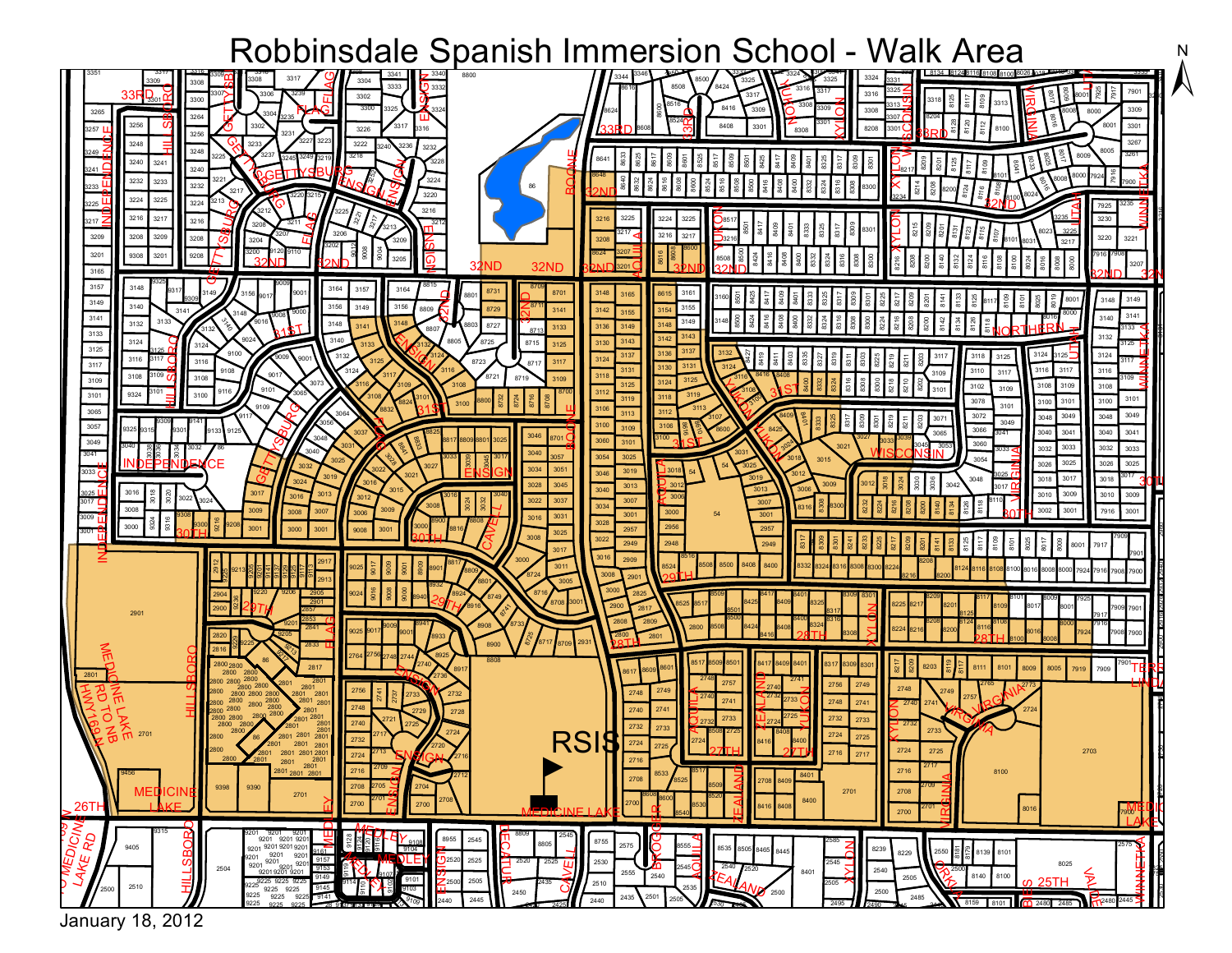# $\overline{\phantom{a}}$



January 18, 2012